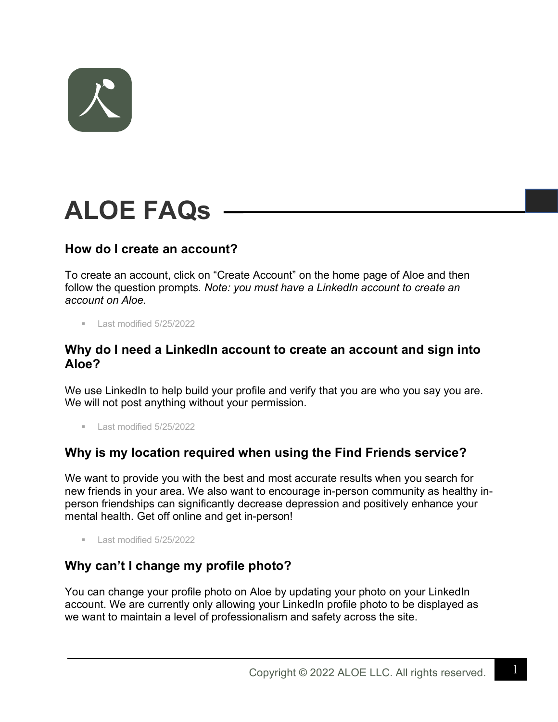

# **ALOE FAQs**

## **How do I create an account?**

To create an account, click on "Create Account" on the home page of Aloe and then follow the question prompts. *Note: you must have a LinkedIn account to create an account on Aloe.*

■ Last modified 5/25/2022

#### **Why do I need a LinkedIn account to create an account and sign into Aloe?**

We use LinkedIn to help build your profile and verify that you are who you say you are. We will not post anything without your permission.

§ Last modified 5/25/2022

### **Why is my location required when using the Find Friends service?**

We want to provide you with the best and most accurate results when you search for new friends in your area. We also want to encourage in-person community as healthy inperson friendships can significantly decrease depression and positively enhance your mental health. Get off online and get in-person!

§ Last modified 5/25/2022

### **Why can't I change my profile photo?**

You can change your profile photo on Aloe by updating your photo on your LinkedIn account. We are currently only allowing your LinkedIn profile photo to be displayed as we want to maintain a level of professionalism and safety across the site.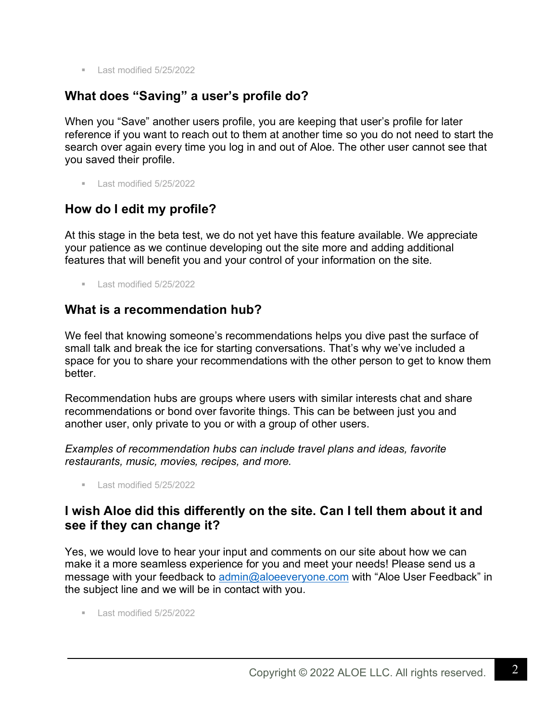■ Last modified 5/25/2022

# **What does "Saving" a user's profile do?**

When you "Save" another users profile, you are keeping that user's profile for later reference if you want to reach out to them at another time so you do not need to start the search over again every time you log in and out of Aloe. The other user cannot see that you saved their profile.

 $\blacksquare$  Last modified 5/25/2022

## **How do I edit my profile?**

At this stage in the beta test, we do not yet have this feature available. We appreciate your patience as we continue developing out the site more and adding additional features that will benefit you and your control of your information on the site.

 $\blacksquare$  Last modified 5/25/2022

## **What is a recommendation hub?**

We feel that knowing someone's recommendations helps you dive past the surface of small talk and break the ice for starting conversations. That's why we've included a space for you to share your recommendations with the other person to get to know them better.

Recommendation hubs are groups where users with similar interests chat and share recommendations or bond over favorite things. This can be between just you and another user, only private to you or with a group of other users.

*Examples of recommendation hubs can include travel plans and ideas, favorite restaurants, music, movies, recipes, and more.* 

§ Last modified 5/25/2022

## **I wish Aloe did this differently on the site. Can I tell them about it and see if they can change it?**

Yes, we would love to hear your input and comments on our site about how we can make it a more seamless experience for you and meet your needs! Please send us a message with your feedback to admin@aloeeveryone.com with "Aloe User Feedback" in the subject line and we will be in contact with you.

■ Last modified 5/25/2022